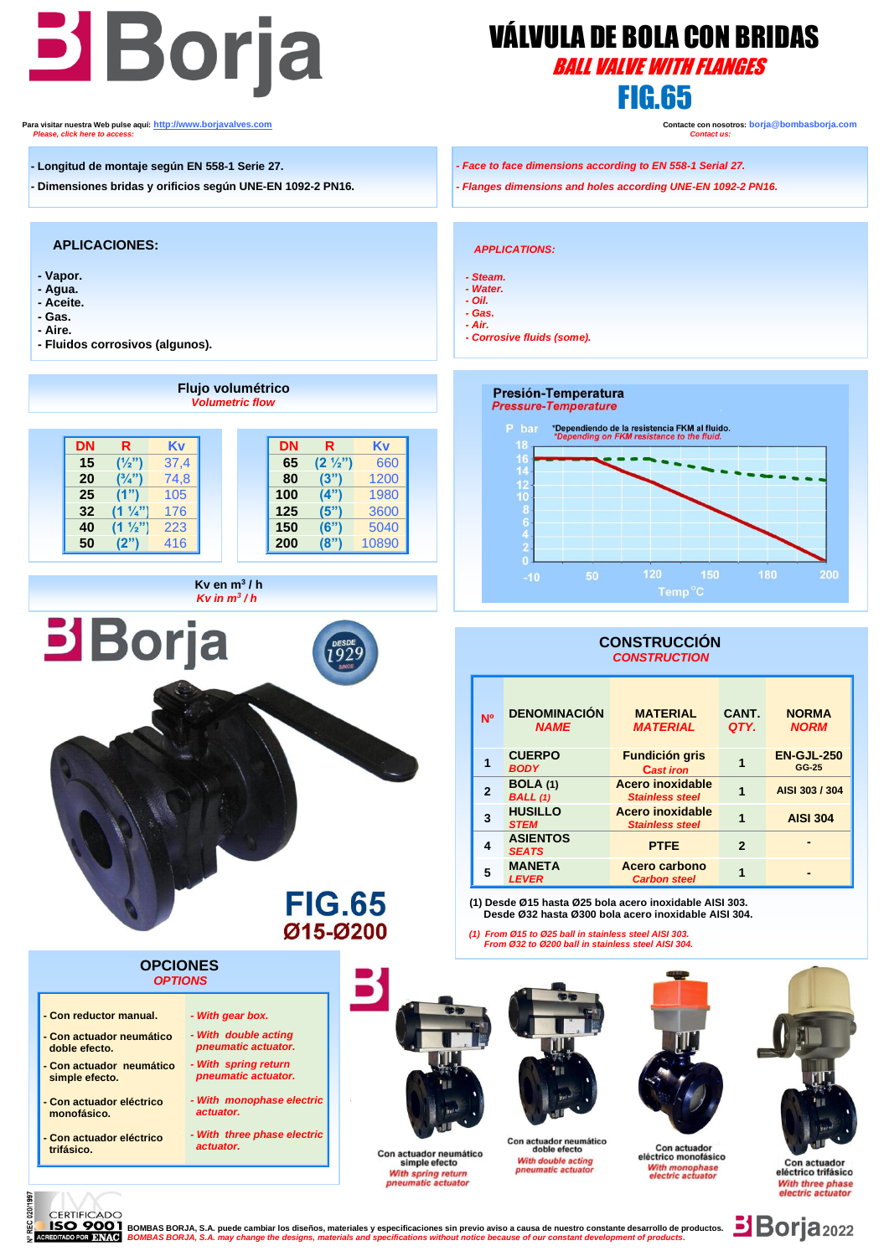# **Boria** *VÁLVULA DE BOLA CON BRI*

# VÁLVULA DE BOLA CON BRIDAS FIG.65

**Para visitar nuestra Web pulse aquí: [http://www.borjavalves.com](http://www.borjavalves.com/) Contacte con nosotros: borja@bombasborja.com** *Please, click here to access: Contact us:*

- **- Longitud de montaje según EN 558-1 Serie 27.**
- **- Dimensiones bridas y orificios según UNE-EN 1092-2 PN16.**

## **APLICACIONES:**

- **- Vapor.**
- **- Agua.**
- **- Aceite. - Gas.**
- **- Aire.**
- 

020/1997

ă

**- Fluidos corrosivos (algunos).**

 **Flujo volumétrico** Presión-Temperatura *Volumetric flow*  **Pressure-Temperature DN R Kv DN R Kv** 18  **15 (½")** 37,4  **65 (2 ½")** 660  $\overline{1}$ 20  $(3/4")$  74,8  **80 (3")** 1200 12  **25 (1")** 105 **100 (4")** 1980  $(4")$  **32 (1 ¼")** 176 **125 (5")** 3600  **40 (1 ½")** 223 **150 (6")** 5040  **50 (2")** 416 **200 (8")** 10890 *Kv* **en m<sup>3</sup>/h** *<i>Kv in m<sup>3</sup>/h*  $\overline{a}$ **Borja CONSTRUCCIÓN Nº DENOMINACIÓN**  *NAME* **CUERPO 1** *BODY* **BOLA (1) 2** *BALL (1)* **HUSILLO 3** *STEM* **ASIENTOS 4 MANETA 5** *LEVER* ľ **FIG.65 Desde Ø32 hasta Ø300 bola acero inoxidable AISI 304.** Ø15-Ø200 *(1) From Ø15 to Ø25 ball in stainless steel AISI 303. From Ø32 to Ø200 ball in stainless steel AISI 304.*  **OPCIONES**  *OPTIONS* **- Con reductor manual.** *- With gear box. - With double acting*  **- Con actuador neumático**   *pneumatic actuator.*  **doble efecto. - Con actuador neumático**  *- With spring return pneumatic actuator.*  **simple efecto.** *- With monophase electric*  **- Con actuador eléctrico monofásico.**  *actuator. - With three phase electric*  **- Con actuador eléctrico**  Con actuador neumático<br>doble efecto  *actuator.* **trifásico.** Con actuador neumático







Con actuador eléctrico trifásico

## *- Face to face dimensions according to EN 558-1 Serial 27.*

*- Flanges dimensions and holes according UNE-EN 1092-2 PN16.*

#### *APPLICATIONS:*

- *- Steam.*
- *- Water. - Oil.*
- *- Gas.*
- *- Air.*
- *- Corrosive fluids (some).*



# *CONSTRUCTION*

| <b>N<sub>O</sub></b> | <b>DENOMINACIÓN</b><br><b>NAME</b> | <b>MATERIAL</b><br><b>MATERIAL</b>                                                                            | CANT.<br>QTY.  | <b>NORMA</b><br><b>NORM</b> |  |  |
|----------------------|------------------------------------|---------------------------------------------------------------------------------------------------------------|----------------|-----------------------------|--|--|
|                      | <b>CUERPO</b><br><b>BODY</b>       | <b>Fundición gris</b><br><b>Cast iron</b>                                                                     |                | <b>EN-GJL-250</b><br>GG-25  |  |  |
| 2                    | <b>BOLA</b> (1)<br><b>BALL</b> (1) | Acero inoxidable<br><b>Stainless steel</b>                                                                    |                | AISI 303 / 304              |  |  |
| 3                    | <b>HUSILLO</b><br><b>STEM</b>      | Acero inoxidable<br><b>Stainless steel</b>                                                                    |                | <b>AISI 304</b>             |  |  |
| 4                    | <b>ASIENTOS</b><br><b>SEATS</b>    | <b>PTFE</b>                                                                                                   | $\overline{2}$ |                             |  |  |
| 5                    | <b>MANETA</b><br><b>LEVER</b>      | Acero carbono<br><b>Carbon steel</b>                                                                          |                |                             |  |  |
|                      |                                    | (1) Desde Ø15 hasta Ø25 bola acero inoxidable AISI 303.<br>Desde Ø32 hasta Ø300 bola acero inovidable AISL304 |                |                             |  |  |

simple efecto With spring return<br>pneumatic actuator With double acting<br>pneumatic actuator





**CERTIFICADO** YOO I BOMBAS BORJA, S.A. puede cambiar los diseños, materiales y especificaciones sin previo aviso a causa de nuestro constante desarrollo de productos.<br>R DNKO BOMBAS BORJA, S.A. may change the designs, materials and speci